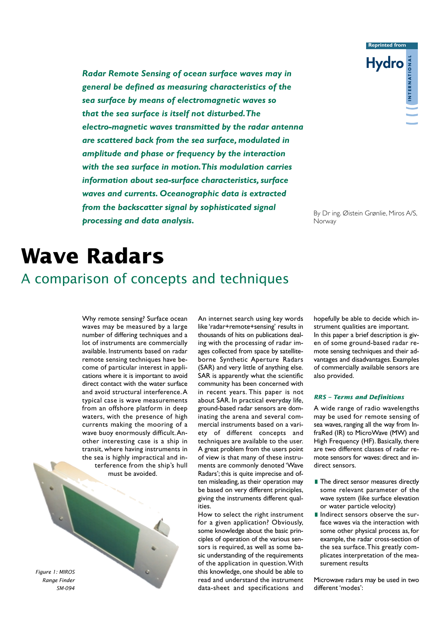*Radar Remote Sensing of ocean surface waves may in general be defined as measuring characteristics of the sea surface by means of electromagnetic waves so that the sea surface is itself not disturbed.The electro-magnetic waves transmitted by the radar antenna are scattered back from the sea surface, modulated in amplitude and phase or frequency by the interaction with the sea surface in motion.This modulation carries information about sea-surface characteristics, surface waves and currents. Oceanographic data is extracted from the backscatter signal by sophisticated signal processing and data analysis.*



By Dr ing. Øistein Grønlie, Miros A/S, Norway

# **Wave Radars**

## A comparison of concepts and techniques

Why remote sensing? Surface ocean waves may be measured by a large number of differing techniques and a lot of instruments are commercially available. Instruments based on radar remote sensing techniques have become of particular interest in applications where it is important to avoid direct contact with the water surface and avoid structural interference.A typical case is wave measurements from an offshore platform in deep waters, with the presence of high currents making the mooring of a wave buoy enormously difficult.Another interesting case is a ship in transit, where having instruments in the sea is highly impractical and interference from the ship's hull must be avoided.

*Figure 1: MIROS Range Finder SM-094*

An internet search using key words like 'radar+remote+sensing' results in thousands of hits on publications dealing with the processing of radar images collected from space by satelliteborne Synthetic Aperture Radars (SAR) and very little of anything else. SAR is apparently what the scientific community has been concerned with in recent years. This paper is not about SAR. In practical everyday life, ground-based radar sensors are dominating the arena and several commercial instruments based on a variety of different concepts and techniques are available to the user. A great problem from the users point of view is that many of these instruments are commonly denoted 'Wave Radars'; this is quite imprecise and often misleading, as their operation may be based on very different principles, giving the instruments different qualities.

How to select the right instrument for a given application? Obviously, some knowledge about the basic principles of operation of the various sensors is required, as well as some basic understanding of the requirements of the application in question.With this knowledge, one should be able to read and understand the instrument data-sheet and specifications and

hopefully be able to decide which instrument qualities are important. In this paper a brief description is given of some ground-based radar remote sensing techniques and their advantages and disadvantages. Examples of commercially available sensors are also provided.

#### *RRS – Terms and Definitions*

A wide range of radio wavelengths may be used for remote sensing of sea waves, ranging all the way from InfraRed (IR) to MicroWave (MW) and High Frequency (HF). Basically, there are two different classes of radar remote sensors for waves: direct and indirect sensors.

- $\blacksquare$  The direct sensor measures directly some relevant parameter of the wave system (like surface elevation or water particle velocity)
- **I**I Indirect sensors observe the surface waves via the interaction with some other physical process as, for example, the radar cross-section of the sea surface.This greatly complicates interpretation of the measurement results

Microwave radars may be used in two different 'modes':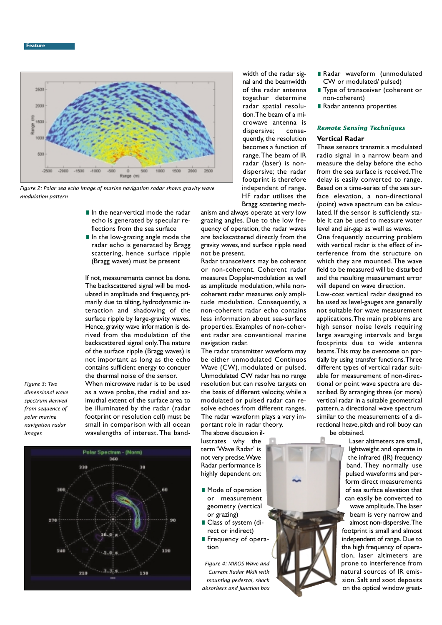

*Figure 2: Polar sea echo image of marine navigation radar shows gravity wave modulation pattern*

- **I**I In the near-vertical mode the radar echo is generated by specular reflections from the sea surface
- **I**I In the low-grazing angle mode the radar echo is generated by Bragg scattering, hence surface ripple (Bragg waves) must be present

If not, measurements cannot be done. The backscattered signal will be modulated in amplitude and frequency, primarily due to tilting, hydrodynamic interaction and shadowing of the surface ripple by large-gravity waves. Hence, gravity wave information is derived from the modulation of the backscattered signal only.The nature of the surface ripple (Bragg waves) is not important as long as the echo contains sufficient energy to conquer the thermal noise of the sensor.

*Figure 3: Two dimensional wave spectrum derived from sequence of polar marine navigation radar images*

When microwave radar is to be used as a wave probe, the radial and azimuthal extent of the surface area to be illuminated by the radar (radar footprint or resolution cell) must be small in comparison with all ocean wavelengths of interest. The band-



width of the radar signal and the beamwidth of the radar antenna together determine radar spatial resolution.The beam of a microwave antenna is dispersive; consequently, the resolution becomes a function of range.The beam of IR radar (laser) is nondispersive; the radar footprint is therefore independent of range. HF radar utilises the Bragg scattering mech-

anism and always operate at very low grazing angles. Due to the low frequency of operation, the radar waves are backscattered directly from the gravity waves, and surface ripple need not be present.

Radar transceivers may be coherent or non-coherent. Coherent radar measures Doppler-modulation as well as amplitude modulation, while noncoherent radar measures only amplitude modulation. Consequently, a non-coherent radar echo contains less information about sea-surface properties. Examples of non-coherent radar are conventional marine navigation radar.

The radar transmitter waveform may be either unmodulated Continuos Wave (CW), modulated or pulsed. Unmodulated CW radar has no range resolution but can resolve targets on the basis of different velocity, while a modulated or pulsed radar can resolve echoes from different ranges. The radar waveform plays a very important role in radar theory.

The above discussion illustrates why the term 'Wave Radar' is not very precise.Wave Radar performance is highly dependent on:

- $\blacksquare$  Mode of operation or measurement geometry (vertical or grazing)
- **ı**Class of system (direct or indirect)
- **ı** Frequency of operation

*Figure 4: MIROS Wave and Current Radar MkIII with mounting pedestal, shock absorbers and junction box*

- **ı**Radar waveform (unmodulated CW or modulated/ pulsed)
- **ı**Type of transceiver (coherent or non-coherent)
- **Radar antenna properties**

### *Remote Sensing Techniques*

#### **Vertical Radar**

These sensors transmit a modulated radio signal in a narrow beam and measure the delay before the echo from the sea surface is received.The delay is easily converted to range. Based on a time-series of the sea surface elevation, a non-directional (point) wave spectrum can be calculated. If the sensor is sufficiently stable it can be used to measure water level and air-gap as well as waves.

One frequently occurring problem with vertical radar is the effect of interference from the structure on which they are mounted.The wave field to be measured will be disturbed and the resulting measurement error will depend on wave direction.

Low-cost vertical radar designed to be used as level-gauges are generally not suitable for wave measurement applications.The main problems are high sensor noise levels requiring large averaging intervals and large footprints due to wide antenna beams.This may be overcome on partially by using transfer functions.Three different types of vertical radar suitable for measurement of non-directional or point wave spectra are described. By arranging three (or more) vertical radar in a suitable geometrical pattern, a directional wave spectrum similar to the measurements of a directional heave, pitch and roll buoy can be obtained.

Laser altimeters are small, lightweight and operate in the infrared (IR) frequency band. They normally use pulsed waveforms and perform direct measurements of sea surface elevation that can easily be converted to wave amplitude.The laser beam is very narrow and

almost non-dispersive.The footprint is small and almost independent of range. Due to the high frequency of operation, laser altimeters are prone to interference from natural sources of IR emission. Salt and soot deposits on the optical window great-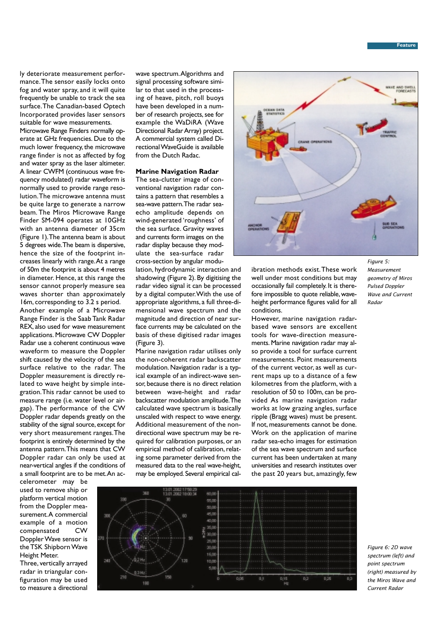#### **Feature**

ly deteriorate measurement performance.The sensor easily locks onto fog and water spray, and it will quite frequently be unable to track the sea surface.The Canadian-based Optech Incorporated provides laser sensors suitable for wave measurements.

Microwave Range Finders normally operate at GHz frequencies. Due to the much lower frequency, the microwave range finder is not as affected by fog and water spray as the laser altimeter. A linear CWFM (continuous wave frequency modulated) radar waveform is normally used to provide range resolution.The microwave antenna must be quite large to generate a narrow beam. The Miros Microwave Range Finder SM-094 operates at 10GHz with an antenna diameter of 35cm (Figure 1).The antenna beam is about 5 degrees wide.The beam is dispersive, hence the size of the footprint increases linearly with range.At a range of 50m the footprint is about 4 metres in diameter. Hence, at this range the sensor cannot properly measure sea waves shorter than approximately 16m, corresponding to 3.2 s period.

Another example of a Microwave Range Finder is the Saab Tank Radar REX, also used for wave measurement applications. Microwave CW Doppler Radar use a coherent continuous wave waveform to measure the Doppler shift caused by the velocity of the sea surface relative to the radar. The Doppler measurement is directly related to wave height by simple integration.This radar cannot be used to measure range (i.e. water level or airgap). The performance of the CW Doppler radar depends greatly on the stability of the signal source, except for very short measurement ranges.The footprint is entirely determined by the antenna pattern.This means that CW Doppler radar can only be used at near-vertical angles if the conditions of a small footprint are to be met.An ac-

celerometer may be used to remove ship or platform vertical motion from the Doppler measurement.A commercial example of a motion compensated CW Doppler Wave sensor is the TSK Shipborn Wave Height Meter.

Three, vertically arrayed radar in triangular configuration may be used to measure a directional wave spectrum.Algorithms and signal processing software similar to that used in the processing of heave, pitch, roll buoys have been developed in a number of research projects, see for example the WaDiRA (Wave Directional Radar Array) project. A commercial system called Directional WaveGuide is available from the Dutch Radac.

#### **Marine Navigation Radar**

The sea-clutter image of conventional navigation radar contains a pattern that resembles a sea-wave pattern.The radar seaecho amplitude depends on wind-generated 'roughness' of the sea surface. Gravity waves and currents form images on the radar display because they modulate the sea-surface radar cross-section by angular modu-

lation, hydrodynamic interaction and shadowing (Figure 2). By digitising the radar video signal it can be processed by a digital computer.With the use of appropriate algorithms, a full three-dimensional wave spectrum and the magnitude and direction of near surface currents may be calculated on the basis of these digitised radar images (Figure 3).

Marine navigation radar utilises only the non-coherent radar backscatter modulation. Navigation radar is a typical example of an indirect-wave sensor, because there is no direct relation between wave-height and radar backscatter modulation amplitude.The calculated wave spectrum is basically unscaled with respect to wave energy. Additional measurement of the nondirectional wave spectrum may be required for calibration purposes, or an empirical method of calibration, relating some parameter derived from the measured data to the real wave-height, may be employed. Several empirical cal-



ibration methods exist.These work well under most conditions but may occasionally fail completely. It is therefore impossible to quote reliable, waveheight performance figures valid for all conditions.

However, marine navigation radarbased wave sensors are excellent tools for wave-direction measurements. Marine navigation radar may also provide a tool for surface current measurements. Point measurements of the current vector, as well as current maps up to a distance of a few kilometres from the platform, with a resolution of 50 to 100m, can be provided As marine navigation radar works at low grazing angles, surface ripple (Bragg waves) must be present. If not, measurements cannot be done. Work on the application of marine radar sea-echo images for estimation of the sea wave spectrum and surface current has been undertaken at many universities and research institutes over the past 20 years but, amazingly, few

*geometry of Miros Pulsed Doppler Wave and Current Radar*

*Measurement*



*Figure 6: 2D wave spectrum (left) and point spectrum (right) measured by the Miros Wave and Current Radar*